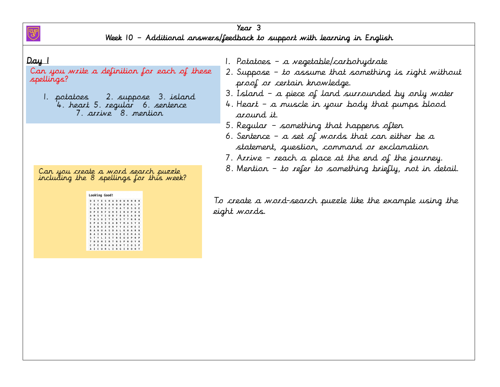

### Year 3 Week 10 – Additional answers/feedback to support with learning in English

#### $Day_1$

Can you write a definition for each of these spellings?

1. potatoes 2. suppose 3. island 4. heart 5. regular 6. sentence 7. arrive 8. mention

Can you create a word search puzzle<br>including the 8 spellings for this week?

| D | г | ٧ |   | s | м |   |   |   |   | N | M |   | Ħ |
|---|---|---|---|---|---|---|---|---|---|---|---|---|---|
| T | u |   |   | I | A | н | ٥ | н | D | M | A | ı | p |
| G | A |   |   | ٥ | c | т | ٥ |   | ı | ٥ | s | ٥ | E |
| ۰ | P |   |   |   | U | M |   |   |   | U | p | м | Ō |
| ٨ | N | s | ٧ | I | ٥ | в | T |   | ٥ | s | A | Ď | м |
| т | ٥ | s | ٥ | I | т | Ε | к | s | ı | т | 良 | R | A |
| E | P | ٨ | s | D | E | ٨ | R | т | M | А | s | ٧ | x |
| E | ٨ | R | A | z | o | R | ٧ | ٧ | A | c | H | E | I |
| R | ٨ | N | u | ٨ | s | ٥ | А |   | к | H | ٨ | ٠ | N |
|   | A | I |   |   | U | s | н | ε | ε | ε | M | A | G |
| s | т | ٧ | ι | Ī | s | T | R |   | U | u | p | N | p |
| т | н |   |   | I | R | T | N | s | ₽ | N | ٥ | Y | M |
| c | ₽ |   |   | M | A | м | Ε | N | ı | I | Ō | s | P |
| A | 1 | c | U | R | L | I | N | G | I | R | ٥ | N | т |

1. Potatoes – a vegetable/carbohydrate

- 2. Suppose to assume that something is right without proof or certain knowledge.
- 3. Island a piece of land surrounded by only water
- 4. Heart a muscle in your body that pumps blood around it.
- 5. Regular something that happens often
- 6. Sentence a set of words that can either be a statement, question, command or exclamation
- 7. Arrive reach a place at the end of the journey.
- 8. Mention to refer to something briefly, not in detail.

To create a word-search puzzle like the example using the eight words.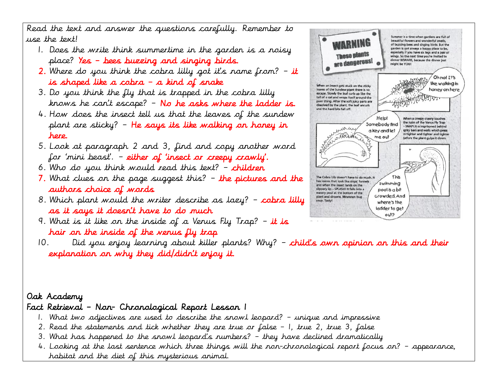Read the text and answer the questions carefully. Remember to use the text!

- 1. Does the write think summertime in the garden is a noisy place? Yes – bees buzzing and singing birds.
- 2. Where do you think the cobra lilly got it's name from?  $-$  it is shaped like a cobra – a kind of snake
- 3. Do you think the fly that is trapped in the cobra lilly knows he can't escape? – No he asks where the ladder is.
- 4. How does the insect tell us that the leaves of the sundew plant are sticky? – He says its like walking on honey in here.
- 5. Look at paragraph 2 and 3, find and copy another word for 'mini beast'. – either of 'insect or creepy crawly'.
- 6. Who do you think would read this text?  $-$  children
- 7. What clues on the page suggest this?  $-$  the pictures and the authors choice of words
- 8. Which plant would the writer describe as lazy?  $-$  cobra lilly as it says it doesn't have to do much
- 9. What is it like on the inside of a Venus Fly Trap? it is hair on the inside of the venus fly trap
- 10. Did you enjoy learning about killer plants? Why? child's own opinion on this and their explanation on why they did/didn't enjoy it.

## Oak Academy

# Fact Retrieval – Non- Chronological Report Lesson 1

- 1. What two adjectives are used to describe the snowl leopard? unique and impressive
- 2. Read the statements and tick whether they are true or false 1, true 2, true 3, false
- 3. What has happened to the snowl leopard's numbers? they have declined dramatically
- 4. Looking at the last sentence which three things will the non-chronological report focus on? appearance, habitat and the diet of this mysterious animal.

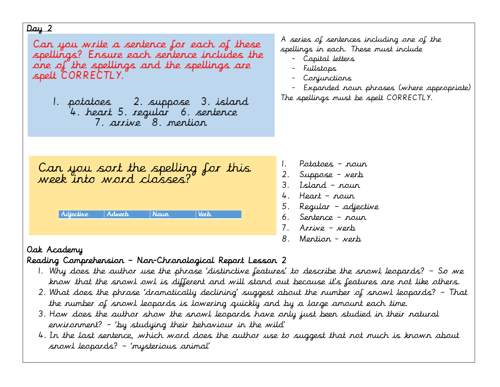#### Day 2

Can you write a sentence for each of these spellings? Ensure each sentence includes the one of the spellings and the spellings are spelt CORRECTLY.

1. potatoes 2. suppose 3. island 4. heart 5. regular – 6. sentence 7. arrive 8. mention

A series of sentences including one of the spellings in each. These must include

- Capital letters
- Fullstops
- Conjunctions
- Expanded noun phrases (where appropriate) The spellings must be spelt CORRECTLY.

Can you sort the spelling for this<br>week into word classes? Adverb Verb Adjective *Naur* 

- 1. Potatoes noun
- 2. Suppose verb
- 3. Island noun
- 4. Heart noun
- 5. Regular adjective
- 6. Sentence noun
- 7. Arrive verb
- 8. Mention verb

## Oak Academy

### Reading Comprehension – Non-Chronological Report Lesson 2

- 1. Why does the author use the phrase 'distinctive features' to describe the snowl leopards? So we know that the snowl owl is different and will stand out because it's features are not like others.
- 2. What does the phrase 'dramatically declining' suggest about the number of snowl leopards? That the number of snowl leopards is lowering quickly and by a large amount each time.
- 3. How does the author show the snowl leopards have only just been studied in their natural environment? – 'by studying their behaviour in the wild'
- 4. In the last sentence, which word does the author use to suggest that not much is known about snowl leopards? – 'mysterious animal'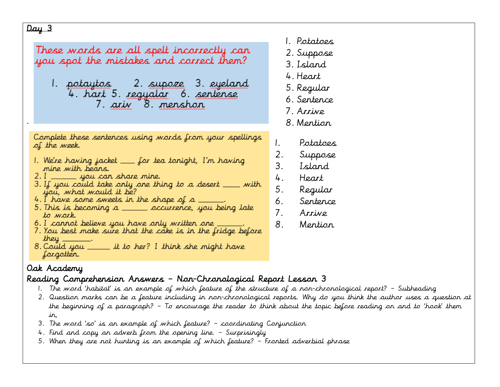#### Day 3

.

| These words are all spelt incorrectly can<br>you spot the mistakes and correct them?                                                                                                                                                                                                                                                                                                                                     | 4<br>5<br>Е                            |
|--------------------------------------------------------------------------------------------------------------------------------------------------------------------------------------------------------------------------------------------------------------------------------------------------------------------------------------------------------------------------------------------------------------------------|----------------------------------------|
|                                                                                                                                                                                                                                                                                                                                                                                                                          |                                        |
| Complete these sentences using words from your spellings<br>of the week.<br>l. We're having jacket ___ for tea tonight, I'm having<br>mine with bears.<br>2. I _______ you can share mine.<br>3. If you could take only one thing to a desert ____ with<br>you, what would it be?<br>4. I have some sweets in the shape of a $\rule{1em}{0.15mm}$<br>5. This is becoming a ______ occurrence, you being late<br>to work. | Ι.<br>2.<br>3.<br>4.<br>5.<br>6.<br>7. |
| 6. I cannot believe you have only written one<br>7. You best make sure that the cake is in the fridge before                                                                                                                                                                                                                                                                                                             | 8.                                     |

- they  $\_\_\_\_\$ . 8. Could you \_\_\_\_\_\_ it to her? I think she might have forgotten.
- Oak Academy

### Reading Comprehension Answers – Non-Chronological Report Lesson 3

- 1. The word 'habitat' is an example of which feature of the structure of a non-chronological report? Subheading
- 2. Question marks can be a feature including in non-chronological reports. Why do you think the author uses a question at the beginning of a paragraph? – To encourage the reader to think about the topic before reading on and to 'hook' them in,
- 3. The word 'so' is an example of which feature? coordinating Conjunction
- 4. Find and copy an adverb from the opening line. Surprisingly
- 5. When they are not hunting is an example of which feature? Fronted adverbial phrase
- 1. Potatoes
- 2. Suppose
- 3. Island
- 4. Heart
- 5. Regular
- 6. Sentence
- 7. Arrive
- 8. Mention
- 1. Potatoes
- 2. Suppose
- 3. Island
- 4. Heart
- 5. Regular
- 6. Sentence
- 7. Arrive
- 8. Mention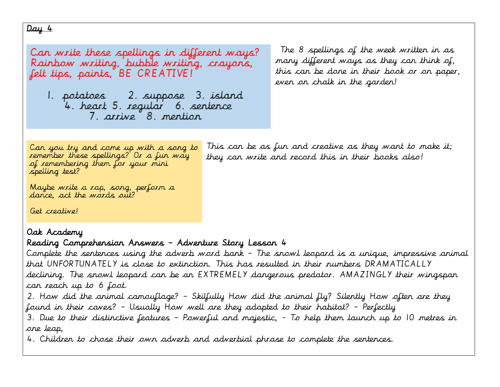Can write these spellings in different ways? Rainbow writing, bubble writing, crayons, felt tips, paints, BE CREATIVE!

1. potatoes \_ 2. suppose 3. island 4. heart 5. regular – 6. sentence 7. arrive 8. mention

The 8 spellings of the week written in as many different ways as they can think of, this can be done in their book or on paper, even on chalk in the garden!

Can you try and come up with a song to remember these spellings? Or a fun way of remembering them for your mini spelling test?

This can be as fun and creative as they want to make it; they can write and record this in their books also!

Maybe write a rap, song, perform a<br>dance, act the words out?

Get creative!

## Oak Academy

## Reading Comprehension Answers – Adventure Story Lesson 4

Complete the sentences using the adverb word bank – The snowl leopard is a unique, impressive animal that UNFORTUNATELY is close to extinction. This has resulted in their numbers DRAMATICALLY declining. The snowl leopard can be an EXTREMELY dangerous predator. AMAZINGLY their wingspan can reach up to 6 foot.

2. How did the animal camouflage? – Skilfully How did the animal fly? Silently How often are they found in their caves? – Usually How well are they adapted to their habitat? – Perfectly

3. Due to their distinctive features – Powerful and majestic, - To help them launch up to 10 metres in one leap,

4. Children to chose their own adverb and adverbial phrase to complete the sentences.

#### $Day 4$